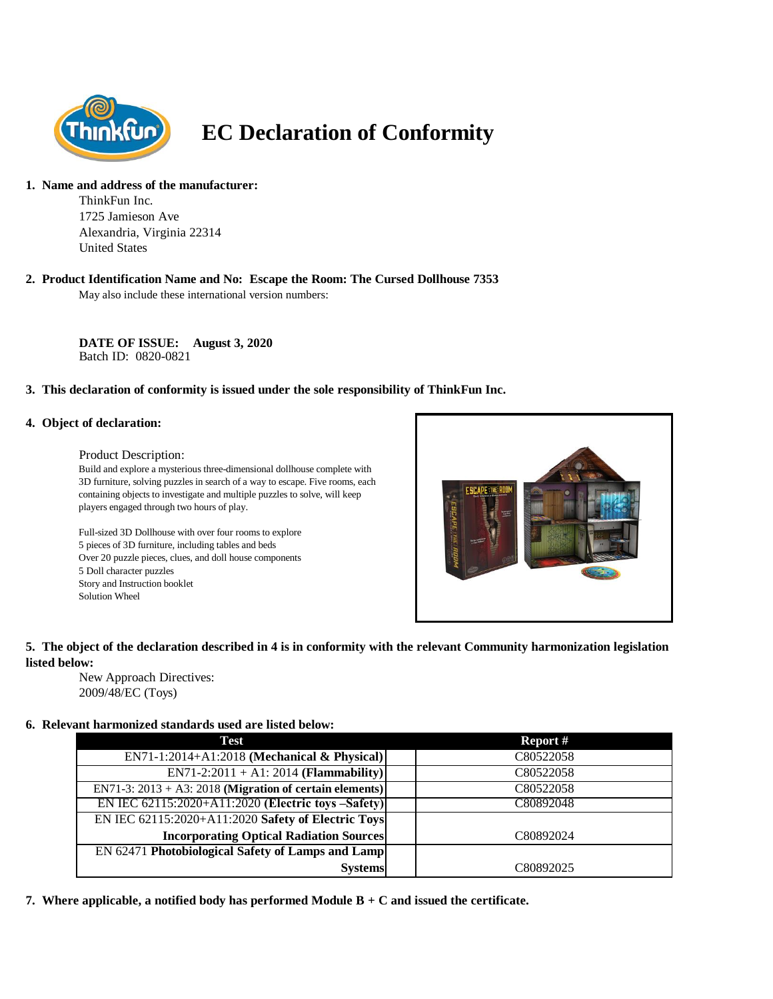

# **EC Declaration of Conformity**

# **1. Name and address of the manufacturer:**

ThinkFun Inc. 1725 Jamieson Ave Alexandria, Virginia 22314 United States

# **2. Product Identification Name and No: Escape the Room: The Cursed Dollhouse 7353**

May also include these international version numbers:

**DATE OF ISSUE: August 3, 2020** Batch ID: 0820-0821

# **3. This declaration of conformity is issued under the sole responsibility of ThinkFun Inc.**

#### **4. Object of declaration:**

#### Product Description:

Build and explore a mysterious three-dimensional dollhouse complete with 3D furniture, solving puzzles in search of a way to escape. Five rooms, each containing objects to investigate and multiple puzzles to solve, will keep players engaged through two hours of play.

Full-sized 3D Dollhouse with over four rooms to explore 5 pieces of 3D furniture, including tables and beds Over 20 puzzle pieces, clues, and doll house components 5 Doll character puzzles Story and Instruction booklet Solution Wheel



# **5. The object of the declaration described in 4 is in conformity with the relevant Community harmonization legislation listed below:**

New Approach Directives: 2009/48/EC (Toys)

#### **6. Relevant harmonized standards used are listed below:**

| Test                                                       | Report #  |
|------------------------------------------------------------|-----------|
| EN71-1:2014+A1:2018 (Mechanical & Physical)                | C80522058 |
| EN71-2:2011 + A1: 2014 ( <b>Flammability</b> )             | C80522058 |
| EN71-3: $2013 + A3$ : 2018 (Migration of certain elements) | C80522058 |
| EN IEC 62115:2020+A11:2020 (Electric toys –Safety)         | C80892048 |
| EN IEC 62115:2020+A11:2020 Safety of Electric Toys         |           |
| <b>Incorporating Optical Radiation Sources</b>             | C80892024 |
| <b>EN 62471 Photobiological Safety of Lamps and Lamp</b>   |           |
| <b>Systems</b>                                             | C80892025 |

**7. Where applicable, a notified body has performed Module B + C and issued the certificate.**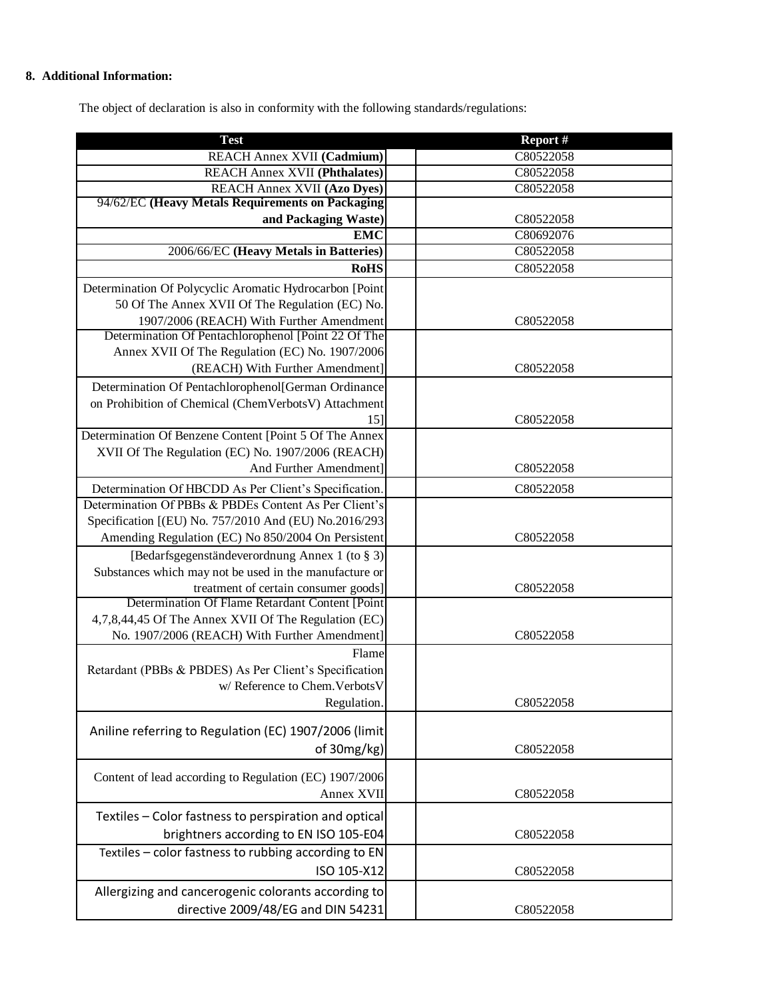# **8. Additional Information:**

The object of declaration is also in conformity with the following standards/regulations:

| <b>Test</b>                                             | Report #  |
|---------------------------------------------------------|-----------|
| REACH Annex XVII (Cadmium)                              | C80522058 |
| <b>REACH Annex XVII (Phthalates)</b>                    | C80522058 |
| <b>REACH Annex XVII (Azo Dyes)</b>                      | C80522058 |
| 94/62/EC (Heavy Metals Requirements on Packaging        |           |
| and Packaging Waste)                                    | C80522058 |
| <b>EMC</b>                                              | C80692076 |
| 2006/66/EC (Heavy Metals in Batteries)                  | C80522058 |
| <b>RoHS</b>                                             | C80522058 |
| Determination Of Polycyclic Aromatic Hydrocarbon [Point |           |
| 50 Of The Annex XVII Of The Regulation (EC) No.         |           |
| 1907/2006 (REACH) With Further Amendment                | C80522058 |
| Determination Of Pentachlorophenol [Point 22 Of The     |           |
| Annex XVII Of The Regulation (EC) No. 1907/2006         |           |
| (REACH) With Further Amendment]                         | C80522058 |
| Determination Of Pentachlorophenol[German Ordinance     |           |
| on Prohibition of Chemical (ChemVerbotsV) Attachment    |           |
| 15]                                                     | C80522058 |
| Determination Of Benzene Content [Point 5 Of The Annex  |           |
| XVII Of The Regulation (EC) No. 1907/2006 (REACH)       |           |
| And Further Amendment]                                  | C80522058 |
| Determination Of HBCDD As Per Client's Specification.   | C80522058 |
| Determination Of PBBs & PBDEs Content As Per Client's   |           |
| Specification [(EU) No. 757/2010 And (EU) No.2016/293   |           |
| Amending Regulation (EC) No 850/2004 On Persistent      | C80522058 |
| [Bedarfsgegenständeverordnung Annex 1 (to § 3)]         |           |
| Substances which may not be used in the manufacture or  |           |
| treatment of certain consumer goods]                    | C80522058 |
| Determination Of Flame Retardant Content [Point         |           |
| 4,7,8,44,45 Of The Annex XVII Of The Regulation (EC)    |           |
| No. 1907/2006 (REACH) With Further Amendment]           | C80522058 |
| Flame                                                   |           |
| Retardant (PBBs & PBDES) As Per Client's Specification  |           |
| w/ Reference to Chem. Verbots V                         |           |
| Regulation.                                             | C80522058 |
| Aniline referring to Regulation (EC) 1907/2006 (limit   |           |
| of 30mg/kg)                                             | C80522058 |
|                                                         |           |
| Content of lead according to Regulation (EC) 1907/2006  |           |
| Annex XVII                                              | C80522058 |
| Textiles - Color fastness to perspiration and optical   |           |
| brightners according to EN ISO 105-E04                  |           |
|                                                         | C80522058 |
| Textiles - color fastness to rubbing according to EN    |           |
| ISO 105-X12                                             | C80522058 |
| Allergizing and cancerogenic colorants according to     |           |
| directive 2009/48/EG and DIN 54231                      | C80522058 |